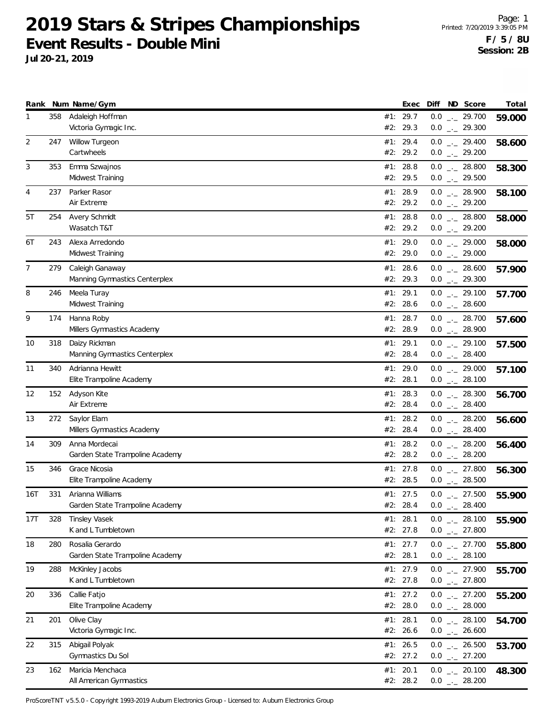**Jul 20-21, 2019**

|     |     | Rank Num Name/Gym                          |     | Exec                 |     | Diff ND Score                                       | Total  |
|-----|-----|--------------------------------------------|-----|----------------------|-----|-----------------------------------------------------|--------|
| 1   | 358 | Adaleigh Hoffman<br>Victoria Gymagic Inc.  |     | #1: 29.7             |     | $0.0$ _ 29.700                                      | 59.000 |
| 2   | 247 | <b>Willow Turgeon</b>                      |     | #2: 29.3<br>#1: 29.4 |     | $0.0$ $_{-}$ 29.300                                 |        |
|     |     | Cartwheels                                 |     | #2: 29.2             |     | $0.0$ $_{\leftarrow}$ 29.400<br>$0.0$ $_{-}$ 29.200 | 58.600 |
| 3   | 353 | Emma Szwajnos                              |     | #1: 28.8             |     | $0.0$ _ 28.800                                      | 58.300 |
|     |     | Midwest Training                           |     | #2: 29.5             |     | $0.0$ $_{\leftarrow}$ 29.500                        |        |
| 4   | 237 | Parker Rasor                               |     | #1: 28.9             |     | $0.0$ _ 28.900                                      | 58.100 |
|     |     | Air Extreme                                |     | #2: 29.2             |     | $0.0$ $_{-}$ 29.200                                 |        |
| 5T  | 254 | Avery Schmidt                              |     | #1: 28.8             |     | $0.0$ _ 28.800                                      | 58.000 |
|     |     | Wasatch T&T                                |     | #2: 29.2             |     | $0.0$ $_{-}$ 29.200                                 |        |
| 6T  | 243 | Alexa Arredondo<br>Midwest Training        |     | #1: 29.0<br>#2: 29.0 |     | $0.0$ _ 29.000<br>$0.0$ _ 29.000                    | 58.000 |
| 7   | 279 | Caleigh Ganaway                            |     | #1: 28.6             |     | $0.0$ _ 28.600                                      | 57.900 |
|     |     | Manning Gymnastics Centerplex              |     | #2: 29.3             |     | $0.0$ $_{-}$ 29.300                                 |        |
| 8   | 246 | Meela Turay                                |     | #1: 29.1             |     | $0.0$ $_{\leftarrow}$ 29.100                        | 57.700 |
|     |     | Midwest Training                           |     | #2: 28.6             |     | $0.0$ _ 28.600                                      |        |
| 9   | 174 | Hanna Roby                                 |     | #1: 28.7             |     | $0.0$ _ 28.700                                      | 57.600 |
|     |     | Millers Gymnastics Academy                 |     | #2: 28.9             |     | $0.0$ _ 28.900                                      |        |
| 10  | 318 | Daizy Rickman                              |     | #1: 29.1             |     | $0.0$ $_{\leftarrow}$ 29.100                        | 57.500 |
|     |     | Manning Gymnastics Centerplex              |     | #2: 28.4             |     | $0.0$ _ 28.400                                      |        |
| 11  | 340 | Adrianna Hewitt                            |     | #1: 29.0<br>#2: 28.1 |     | $0.0$ _ 29.000                                      | 57.100 |
|     |     | Elite Trampoline Academy                   |     |                      |     | $0.0$ _ 28.100                                      |        |
| 12  | 152 | Adyson Kite<br>Air Extreme                 | #1: | 28.3<br>#2: 28.4     |     | $0.0$ _ 28.300<br>$0.0$ _ 28.400                    | 56.700 |
| 13  | 272 | Saylor Elam                                |     | #1: 28.2             |     | $0.0$ _._ 28.200                                    | 56.600 |
|     |     | Millers Gymnastics Academy                 |     | #2: 28.4             |     | $0.0$ _ 28.400                                      |        |
| 14  | 309 | Anna Mordecai                              |     | #1: 28.2             |     | $0.0$ $_{-}$ 28.200                                 | 56.400 |
|     |     | Garden State Trampoline Academy            |     | #2: 28.2             |     | $0.0$ _ 28.200                                      |        |
| 15  | 346 | Grace Nicosia                              |     | #1: 27.8             |     | $0.0$ _ 27.800                                      | 56.300 |
|     |     | Elite Trampoline Academy                   |     | #2: 28.5             |     | $0.0$ _ 28.500                                      |        |
| 16T | 331 | Arianna Williams                           |     | #1: 27.5             |     | $0.0$ _._ 27.500                                    | 55.900 |
|     |     | Garden State Trampoline Academy            |     | #2: 28.4             | 0.0 | $\frac{1}{2}$ 28.400                                |        |
| 17T | 328 | <b>Tinsley Vasek</b><br>K and L Tumbletown |     | #1: 28.1<br>#2: 27.8 |     | $0.0$ $_{-}$ 28.100<br>$0.0$ _ 27.800               | 55.900 |
| 18  | 280 | Rosalia Gerardo                            |     | #1: 27.7             |     | $0.0$ _ 27.700                                      | 55.800 |
|     |     | Garden State Trampoline Academy            |     | #2: 28.1             |     | $0.0$ _ 28.100                                      |        |
| 19  | 288 | McKinley Jacobs                            |     | #1: 27.9             |     | $0.0$ _ 27.900                                      | 55.700 |
|     |     | K and L Tumbletown                         |     | #2: 27.8             |     | $0.0$ _ 27.800                                      |        |
| 20  | 336 | Callie Fatjo                               |     | #1: 27.2             |     | $0.0$ $_{-}$ 27.200                                 | 55.200 |
|     |     | Elite Trampoline Academy                   |     | #2: 28.0             |     | $0.0$ _ 28.000                                      |        |
| 21  | 201 | Olive Clay                                 |     | #1: 28.1             |     | $0.0$ _ 28.100                                      | 54.700 |
|     |     | Victoria Gymagic Inc.                      |     | #2: 26.6             |     | $0.0$ _ 26.600                                      |        |
| 22  | 315 | Abigail Polyak<br>Gymnastics Du Sol        |     | #1: 26.5<br>#2: 27.2 |     | $0.0$ _ 26.500<br>$0.0$ _ 27.200                    | 53.700 |
| 23  | 162 | Maricia Menchaca                           |     | #1: 20.1             |     | $0.0$ _ 20.100                                      |        |
|     |     | All American Gymnastics                    |     | #2: 28.2             |     | $0.0$ _ 28.200                                      | 48.300 |
|     |     |                                            |     |                      |     |                                                     |        |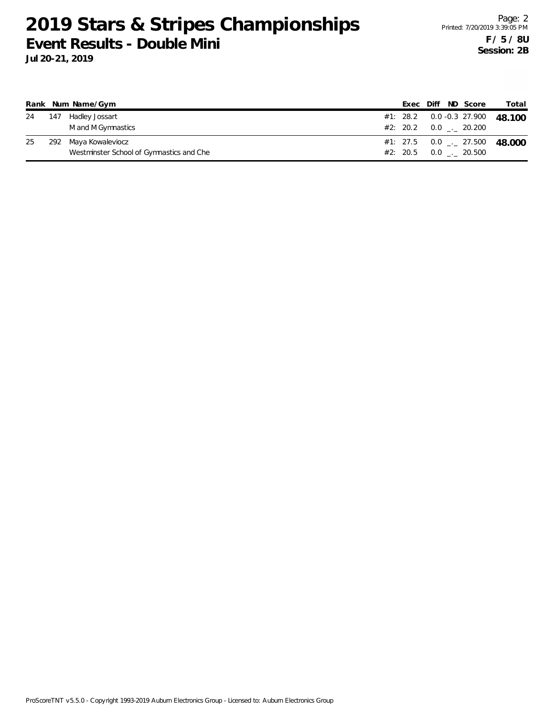|    |       | Rank Num Name/Gym                        |  |  | Exec Diff ND Score            | Total                                      |
|----|-------|------------------------------------------|--|--|-------------------------------|--------------------------------------------|
| 24 | - 147 | Hadley Jossart                           |  |  |                               | #1: 28.2  0.0 -0.3  27.900  48.100         |
|    |       | M and M Gymnastics                       |  |  | $#2: 20.2 \t 0.0 \t . 20.200$ |                                            |
| 25 |       | 292 Maya Kowaleviocz                     |  |  |                               | #1: 27.5  0.0 $\frac{1}{2}$ 27.500  48.000 |
|    |       | Westminster School of Gymnastics and Che |  |  | #2: 20.5 0.0 . 20.500         |                                            |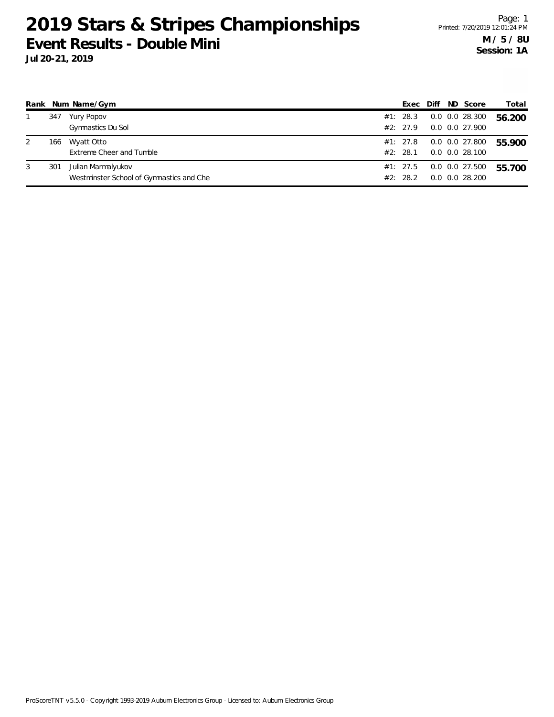|   |     | Rank Num Name/Gym                                              | Exec                 | Diff | ND Score                                   | Total  |
|---|-----|----------------------------------------------------------------|----------------------|------|--------------------------------------------|--------|
|   | 347 | Yury Popov<br>Gymnastics Du Sol                                | #1: 28.3<br>#2: 27.9 |      | $0.0$ $0.0$ 28.300<br>$0.0$ $0.0$ $27.900$ | 56.200 |
| 2 | 166 | Wyatt Otto<br>Extreme Cheer and Tumble                         | #1: 27.8<br>#2: 28.1 |      | 0.0 0.0 27.800<br>0.0 0.0 28.100           | 55.900 |
| 3 | 301 | Julian Marmalyukov<br>Westminster School of Gymnastics and Che | #1: 27.5<br>#2: 28.2 |      | 0.0 0.0 27.500<br>$0.0$ $0.0$ 28.200       | 55.700 |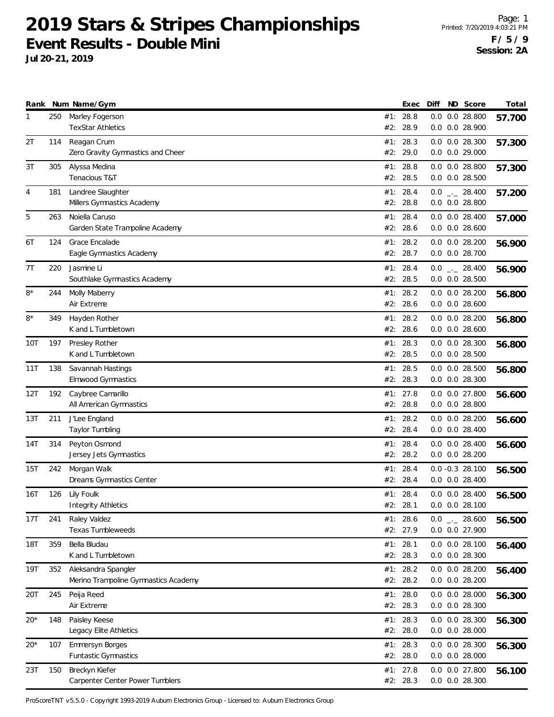**Jul 20-21, 2019**

|            |     | Rank Num Name/Gym                                           |            | Exec                   | Diff | ND Score                                 | Total  |
|------------|-----|-------------------------------------------------------------|------------|------------------------|------|------------------------------------------|--------|
| 1          | 250 | Marley Fogerson<br><b>TexStar Athletics</b>                 | #2:        | #1: 28.8<br>28.9       |      | $0.0$ $0.0$ 28.800<br>0.0 0.0 28.900     | 57.700 |
| 2T         | 114 | Reagan Crum<br>Zero Gravity Gymnastics and Cheer            | #1:<br>#2: | 28.3<br>29.0           |      | $0.0$ $0.0$ 28.300<br>$0.0$ $0.0$ 29.000 | 57.300 |
| 3T         | 305 | Alyssa Medina<br>Tenacious T&T                              |            | #1: 28.8<br>#2: 28.5   |      | $0.0$ $0.0$ 28.800<br>$0.0$ $0.0$ 28.500 | 57.300 |
| 4          | 181 | Landree Slaughter<br>Millers Gymnastics Academy             | #1:<br>#2: | 28.4<br>28.8           |      | $0.0$ _ 28.400<br>$0.0$ $0.0$ 28.800     | 57.200 |
| 5          | 263 | Noiella Caruso<br>Garden State Trampoline Academy           | #1:<br>#2: | 28.4<br>28.6           |      | $0.0$ $0.0$ 28.400<br>$0.0$ $0.0$ 28.600 | 57.000 |
| 6T         | 124 | Grace Encalade<br>Eagle Gymnastics Academy                  | #1:        | 28.2<br>#2: 28.7       |      | $0.0$ $0.0$ 28.200<br>0.0 0.0 28.700     | 56.900 |
| 7T         | 220 | Jasmine Li<br>Southlake Gymnastics Academy                  | #1:<br>#2: | 28.4<br>28.5           |      | $0.0$ _ 28.400<br>$0.0$ $0.0$ 28.500     | 56.900 |
| 8*         | 244 | Molly Maberry<br>Air Extreme                                | #1:<br>#2: | 28.2<br>28.6           |      | $0.0$ $0.0$ 28.200<br>$0.0$ $0.0$ 28.600 | 56.800 |
| $8*$       | 349 | Hayden Rother<br>K and L Tumbletown                         | #1:        | 28.2<br>#2: 28.6       |      | $0.0$ $0.0$ 28.200<br>$0.0$ $0.0$ 28.600 | 56.800 |
| 10T        | 197 | Presley Rother<br>K and L Tumbletown                        |            | #1: 28.3<br>#2: 28.5   |      | 0.0 0.0 28.300<br>$0.0$ $0.0$ 28.500     | 56.800 |
| 11T        | 138 | Savannah Hastings<br>Elmwood Gymnastics                     | #1:        | 28.5<br>#2: 28.3       |      | $0.0$ $0.0$ 28.500<br>$0.0$ $0.0$ 28.300 | 56.800 |
| 12T        | 192 | Caybree Camarillo<br>All American Gymnastics                | #1:        | 27.8<br>#2: 28.8       |      | $0.0$ $0.0$ 27.800<br>$0.0$ $0.0$ 28.800 | 56.600 |
| 13T        | 211 | J'Lee England<br>Taylor Tumbling                            |            | #1: 28.2<br>#2: 28.4   |      | $0.0$ $0.0$ 28.200<br>$0.0$ $0.0$ 28.400 | 56.600 |
| 14T        | 314 | Peyton Osmond<br>Jersey Jets Gymnastics                     |            | #1: 28.4<br>#2: 28.2   |      | $0.0$ $0.0$ 28.400<br>$0.0$ $0.0$ 28.200 | 56.600 |
| 15T        | 242 | Morgan Walk<br>Dreams Gymnastics Center                     | #1:<br>#2: | 28.4<br>28.4           |      | $0.0 - 0.3 28.100$<br>$0.0$ $0.0$ 28.400 | 56.500 |
| 16T        | 126 | Lily Foulk<br>Integrity Athletics                           |            | #1: 28.4<br>#2: 28.1   |      | $0.0$ $0.0$ 28.400<br>$0.0$ $0.0$ 28.100 | 56.500 |
| 17T        | 241 | Raley Valdez<br>Texas Tumbleweeds                           |            | #1: 28.6<br>#2: 27.9   |      | $0.0$ _ 28.600<br>0.0 0.0 27.900         | 56.500 |
| <b>18T</b> | 359 | Bella Bludau<br>K and L Tumbletown                          |            | #1: 28.1<br>#2: 28.3   |      | $0.0$ $0.0$ 28.100<br>$0.0$ $0.0$ 28.300 | 56.400 |
| 19T        | 352 | Aleksandra Spangler<br>Merino Trampoline Gymnastics Academy |            | #1: 28.2<br>#2: 28.2   |      | $0.0$ $0.0$ 28.200<br>0.0 0.0 28.200     | 56.400 |
| 20T        | 245 | Peija Reed<br>Air Extreme                                   | #1:        | 28.0<br>#2: 28.3       |      | $0.0$ $0.0$ 28.000<br>0.0 0.0 28.300     | 56.300 |
| $20*$      | 148 | Paisley Keese<br>Legacy Elite Athletics                     |            | #1: 28.3<br>#2: 28.0   |      | 0.0 0.0 28.300<br>$0.0$ $0.0$ 28.000     | 56.300 |
| $20*$      | 107 | Emmersyn Borges<br>Funtastic Gymnastics                     |            | #1: 28.3<br>#2: 28.0   |      | 0.0 0.0 28.300<br>$0.0$ $0.0$ 28.000     | 56.300 |
| 23T        | 150 | Breckyn Kiefer<br>Carpenter Center Power Tumblers           |            | #1: $27.8$<br>#2: 28.3 |      | 0.0 0.0 27.800<br>0.0 0.0 28.300         | 56.100 |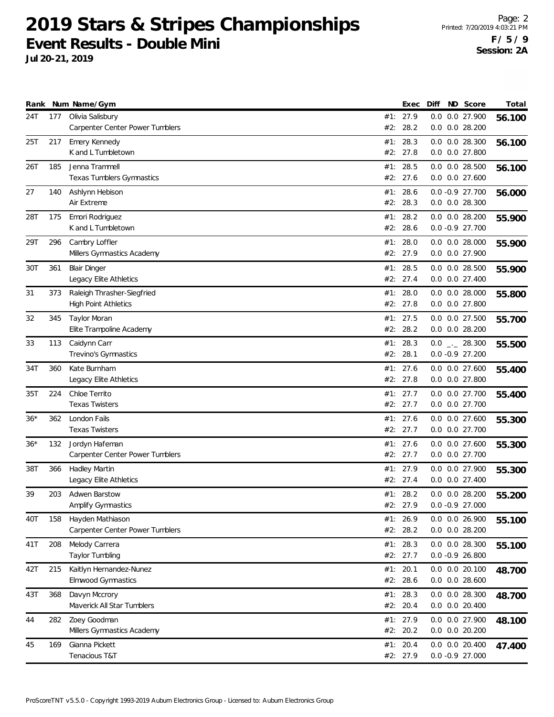|       |     | Rank Num Name/Gym                                   |     | Exec                 | Diff | ND Score                                 | Total  |
|-------|-----|-----------------------------------------------------|-----|----------------------|------|------------------------------------------|--------|
| 24T   | 177 | Olivia Salisbury                                    |     | #1: 27.9             |      | 0.0 0.0 27.900                           | 56.100 |
|       |     | Carpenter Center Power Tumblers                     | #2: | 28.2                 |      | $0.0$ $0.0$ 28.200                       |        |
| 25T   | 217 | Emery Kennedy                                       | #1: | 28.3                 |      | 0.0 0.0 28.300                           | 56.100 |
|       |     | K and L Tumbletown                                  | #2: | 27.8                 |      | 0.0 0.0 27.800                           |        |
|       |     | Jenna Trammell                                      |     |                      |      |                                          |        |
| 26T   | 185 | Texas Tumblers Gymnastics                           |     | #1: 28.5<br>#2: 27.6 |      | $0.0$ $0.0$ 28.500<br>$0.0$ $0.0$ 27.600 | 56.100 |
|       |     |                                                     |     |                      |      |                                          |        |
| 27    | 140 | Ashlynn Hebison                                     | #1: | 28.6                 |      | $0.0 -0.9$ 27.700                        | 56.000 |
|       |     | Air Extreme                                         |     | #2: 28.3             |      | $0.0$ $0.0$ 28.300                       |        |
| 28T   | 175 | Emori Rodriguez                                     |     | #1: 28.2             |      | $0.0$ $0.0$ 28.200                       | 55.900 |
|       |     | K and L Tumbletown                                  | #2: | 28.6                 |      | $0.0 - 0.9 27.700$                       |        |
| 29T   | 296 | Cambry Loffler                                      |     | #1: 28.0             |      | $0.0$ $0.0$ 28.000                       | 55.900 |
|       |     | Millers Gymnastics Academy                          |     | #2: 27.9             |      | 0.0 0.0 27.900                           |        |
| 30T   | 361 | <b>Blair Dinger</b>                                 |     | #1: 28.5             |      | 0.0 0.0 28.500                           | 55.900 |
|       |     | Legacy Elite Athletics                              |     | #2: 27.4             |      | 0.0 0.0 27.400                           |        |
| 31    | 373 | Raleigh Thrasher-Siegfried                          |     | #1: 28.0             |      | $0.0$ $0.0$ 28.000                       | 55.800 |
|       |     | <b>High Point Athletics</b>                         |     | #2: 27.8             |      | 0.0 0.0 27.800                           |        |
| 32    | 345 | <b>Taylor Moran</b>                                 |     | #1: 27.5             |      | 0.0 0.0 27.500                           |        |
|       |     | Elite Trampoline Academy                            |     | #2: 28.2             |      | 0.0 0.0 28.200                           | 55.700 |
|       |     |                                                     |     |                      |      |                                          |        |
| 33    | 113 | Caidynn Carr                                        | #1: | 28.3                 |      | $0.0$ _ 28.300                           | 55.500 |
|       |     | Trevino's Gymnastics                                |     | #2: 28.1             |      | $0.0 - 0.9 27.200$                       |        |
| 34T   | 360 | Kate Burnham                                        |     | #1: 27.6             |      | 0.0 0.0 27.600                           | 55.400 |
|       |     | Legacy Elite Athletics                              |     | #2: 27.8             |      | $0.0$ $0.0$ 27.800                       |        |
| 35T   | 224 | Chloe Territo                                       |     | #1: 27.7             |      | 0.0 0.0 27.700                           | 55.400 |
|       |     | <b>Texas Twisters</b>                               |     | #2: 27.7             |      | 0.0 0.0 27.700                           |        |
| $36*$ | 362 | London Fails                                        |     | #1: 27.6             |      | 0.0 0.0 27.600                           | 55.300 |
|       |     | <b>Texas Twisters</b>                               |     | #2: 27.7             |      | 0.0 0.0 27.700                           |        |
| $36*$ | 132 | Jordyn Hafeman                                      |     | #1: 27.6             |      | $0.0$ $0.0$ 27.600                       | 55.300 |
|       |     | Carpenter Center Power Tumblers                     |     | #2: 27.7             |      | 0.0 0.0 27.700                           |        |
| 38T   | 366 | Hadley Martin                                       |     | #1: 27.9             |      | 0.0 0.0 27.900                           | 55.300 |
|       |     | Legacy Elite Athletics                              |     | #2: 27.4             |      | 0.0 0.0 27.400                           |        |
| 39    | 203 | Adwen Barstow                                       |     | #1: 28.2             |      | $0.0$ $0.0$ 28.200                       | 55.200 |
|       |     | Amplify Gymnastics                                  |     | #2: 27.9             |      | $0.0 -0.9 27.000$                        |        |
|       | 158 |                                                     |     | #1: 26.9             |      | 0.0 0.0 26.900                           |        |
| 40T   |     | Hayden Mathiason<br>Carpenter Center Power Tumblers |     | #2: 28.2             |      | 0.0 0.0 28.200                           | 55.100 |
|       |     |                                                     |     |                      |      |                                          |        |
| 41T   | 208 | Melody Carrera                                      |     | #1: 28.3             |      | 0.0 0.0 28.300                           | 55.100 |
|       |     | Taylor Tumbling                                     |     | #2: 27.7             |      | $0.0 - 0.9 26.800$                       |        |
| 42T   | 215 | Kaitlyn Hernandez-Nunez                             |     | #1: 20.1             |      | $0.0$ $0.0$ 20.100                       | 48.700 |
|       |     | Elmwood Gymnastics                                  |     | #2: 28.6             |      | $0.0$ $0.0$ 28.600                       |        |
| 43T   | 368 | Davyn Mccrory                                       |     | #1: 28.3             |      | 0.0 0.0 28.300                           | 48.700 |
|       |     | Maverick All Star Tumblers                          |     | #2: 20.4             |      | $0.0$ $0.0$ 20.400                       |        |
| 44    | 282 | Zoey Goodman                                        |     | #1: 27.9             |      | 0.0 0.0 27.900                           | 48.100 |
|       |     | Millers Gymnastics Academy                          |     | #2: 20.2             |      | $0.0$ $0.0$ $20.200$                     |        |
| 45    | 169 | Gianna Pickett                                      |     | #1: $20.4$           |      | $0.0$ $0.0$ 20.400                       | 47.400 |
|       |     | Tenacious T&T                                       |     | #2: 27.9             |      | $0.0 -0.9 27.000$                        |        |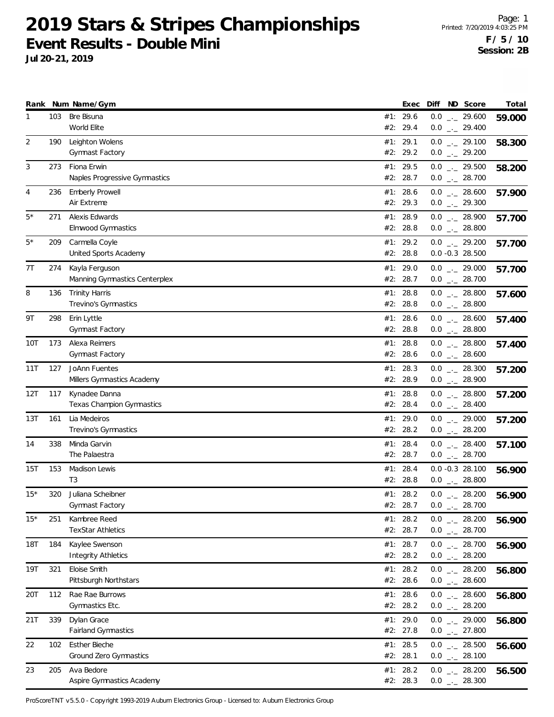**Jul 20-21, 2019**

|            |     | Rank Num Name/Gym                               |     | Exec                 | Diff | ND Score                                              | Total  |
|------------|-----|-------------------------------------------------|-----|----------------------|------|-------------------------------------------------------|--------|
| 1          | 103 | Bre Bisuna<br>World Elite                       | #2: | #1: 29.6<br>29.4     |      | $0.0$ _ 29.600<br>$0.0$ _ 29.400                      | 59.000 |
| 2          | 190 | Leighton Wolens                                 |     | #1: 29.1             |      | $0.0$ $_{\leftarrow}$ 29.100                          | 58.300 |
|            |     | Gymnast Factory                                 |     | #2: 29.2             |      | $0.0$ _ 29.200                                        |        |
| 3          | 273 | Fiona Erwin                                     |     | #1: 29.5             |      | $0.0$ _ 29.500                                        | 58.200 |
|            |     | Naples Progressive Gymnastics                   |     | #2: 28.7             |      | $0.0$ _ 28.700                                        |        |
| 4          | 236 | <b>Emberly Prowell</b>                          |     | #1: 28.6             |      | $0.0$ _ 28.600                                        | 57.900 |
|            |     | Air Extreme                                     |     | #2: 29.3             |      | $0.0$ $_{-}$ 29.300                                   |        |
| $5*$       | 271 | Alexis Edwards                                  |     | #1: 28.9             |      | $0.0$ _ 28.900                                        | 57.700 |
|            |     | <b>Elmwood Gymnastics</b>                       |     | #2: 28.8             |      | $0.0$ _ 28.800                                        |        |
| 5*         | 209 | Carmella Coyle<br>United Sports Academy         |     | #1: 29.2<br>#2: 28.8 |      | $0.0$ _ 29.200<br>$0.0 -0.3$ 28.500                   | 57.700 |
|            |     |                                                 |     |                      |      |                                                       |        |
| 7T         | 274 | Kayla Ferguson<br>Manning Gymnastics Centerplex |     | #1: 29.0<br>#2: 28.7 |      | $0.0$ _ 29.000<br>$0.0$ _ 28.700                      | 57.700 |
| 8          | 136 | <b>Trinity Harris</b>                           |     | #1: 28.8             |      | $0.0$ _ 28.800                                        |        |
|            |     | Trevino's Gymnastics                            |     | #2: 28.8             |      | $0.0$ _ 28.800                                        | 57.600 |
| 9Τ         | 298 | Erin Lyttle                                     |     | #1: 28.6             |      | $0.0$ _ 28.600                                        | 57.400 |
|            |     | Gymnast Factory                                 |     | #2: 28.8             |      | $0.0$ _._ 28.800                                      |        |
| 10T        | 173 | Alexa Reimers                                   |     | #1: 28.8             |      | $0.0$ _ 28.800                                        | 57.400 |
|            |     | Gymnast Factory                                 |     | #2: 28.6             |      | $0.0$ _ 28.600                                        |        |
| 11T        | 127 | JoAnn Fuentes                                   |     | #1: 28.3             |      | $0.0$ _ 28.300                                        | 57.200 |
|            |     | Millers Gymnastics Academy                      |     | #2: 28.9             |      | $0.0$ _ 28.900                                        |        |
| 12T        | 117 | Kynadee Danna                                   | #1: | 28.8                 |      | $0.0$ _ 28.800                                        | 57.200 |
|            |     | <b>Texas Champion Gymnastics</b>                |     | #2: 28.4             |      | $0.0$ _ 28.400                                        |        |
| 13T        | 161 | Lia Medeiros                                    |     | #1: 29.0             |      | $0.0$ _._ 29.000                                      | 57.200 |
|            |     | Trevino's Gymnastics                            |     | #2: 28.2             |      | $0.0$ _ 28.200                                        |        |
| 14         | 338 | Minda Garvin<br>The Palaestra                   |     | #1: 28.4<br>#2: 28.7 |      | $0.0$ _ 28.400<br>$0.0$ _ 28.700                      | 57.100 |
|            |     |                                                 |     |                      |      |                                                       |        |
| 15T        | 153 | Madison Lewis<br>T <sub>3</sub>                 |     | #1: 28.4<br>#2: 28.8 |      | $0.0 -0.3$ 28.100<br>$0.0$ _ 28.800                   | 56.900 |
| $15*$      | 320 | Juliana Scheibner                               |     | #1: 28.2             |      | $0.0$ _._ 28.200                                      | 56.900 |
|            |     | Gymnast Factory                                 |     | #2: 28.7             | 0.0  | 28.700<br>$\mathcal{L}^{\mu}$ and $\mathcal{L}^{\mu}$ |        |
| $15*$      | 251 | Kambree Reed                                    |     | #1: 28.2             |      | $0.0$ _ 28.200                                        | 56.900 |
|            |     | <b>TexStar Athletics</b>                        |     | #2: 28.7             |      | $0.0$ _ 28.700                                        |        |
| <b>18T</b> | 184 | Kaylee Swenson                                  |     | #1: 28.7             |      | $0.0$ _ 28.700                                        | 56.900 |
|            |     | <b>Integrity Athletics</b>                      |     | #2: 28.2             |      | $0.0$ _ 28.200                                        |        |
| 19T        | 321 | Eloise Smith                                    |     | #1: 28.2             |      | $0.0$ _ 28.200                                        | 56.800 |
|            |     | Pittsburgh Northstars                           |     | #2: 28.6             |      | $0.0$ _ 28.600                                        |        |
| 20T        | 112 | Rae Rae Burrows                                 |     | #1: 28.6             |      | $0.0$ _ 28.600                                        | 56.800 |
|            |     | Gymnastics Etc.                                 |     | #2: 28.2             |      | $0.0$ _ 28.200                                        |        |
| 21T        | 339 | Dylan Grace                                     |     | #1: 29.0             |      | $0.0$ _ 29.000                                        | 56.800 |
|            |     | <b>Fairland Gymnastics</b>                      |     | #2: 27.8             |      | $0.0$ _ 27.800                                        |        |
| 22         | 102 | <b>Esther Bieche</b><br>Ground Zero Gymnastics  |     | #1: 28.5<br>#2: 28.1 |      | $0.0$ _ 28.500<br>$0.0$ _ 28.100                      | 56.600 |
|            |     |                                                 |     |                      |      |                                                       |        |
| 23         | 205 | Ava Bedore<br>Aspire Gymnastics Academy         |     | #1: 28.2<br>#2: 28.3 |      | $0.0$ _ 28.200<br>$0.0$ _ 28.300                      | 56.500 |
|            |     |                                                 |     |                      |      |                                                       |        |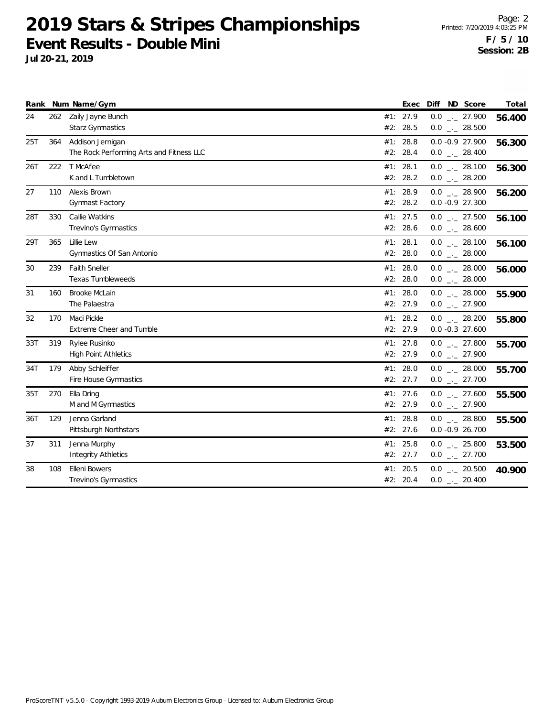|     |     | Rank Num Name/Gym                                            |     | Exec                   | ND Score<br>Diff                          | Total  |
|-----|-----|--------------------------------------------------------------|-----|------------------------|-------------------------------------------|--------|
| 24  | 262 | Zaily Jayne Bunch<br>Starz Gymnastics                        |     | #1: 27.9<br>#2: 28.5   | $0.0$ _ 27.900<br>$0.0$ _ 28.500          | 56.400 |
| 25T | 364 | Addison Jernigan<br>The Rock Performing Arts and Fitness LLC |     | #1: 28.8<br>#2: 28.4   | 0.0 -0.9 27.900<br>$0.0$ _ 28.400         | 56.300 |
| 26T | 222 | T McAfee<br>K and L Tumbletown                               |     | #1: 28.1<br>#2: 28.2   | $0.0$ _ 28.100<br>$0.0$ _ 28.200          | 56.300 |
| 27  | 110 | Alexis Brown<br>Gymnast Factory                              |     | #1: 28.9<br>#2: 28.2   | $0.0$ _ 28.900<br>$0.0 - 0.9 27.300$      | 56.200 |
| 28T | 330 | Callie Watkins<br>Trevino's Gymnastics                       |     | #1: 27.5<br>#2: 28.6   | $0.0$ _ 27.500<br>$0.0$ _ 28.600          | 56.100 |
| 29T | 365 | Lillie Lew<br>Gymnastics Of San Antonio                      | #1: | 28.1<br>#2: 28.0       | $0.0$ _ 28.100<br>$0.0$ _._ 28.000        | 56.100 |
| 30  | 239 | <b>Faith Sneller</b><br>Texas Tumbleweeds                    |     | #1: 28.0<br>#2: 28.0   | $0.0$ _ 28.000<br>$0.0$ _ 28.000          | 56.000 |
| 31  | 160 | <b>Brooke McLain</b><br>The Palaestra                        | #1: | 28.0<br>#2: 27.9       | $0.0$ _ 28.000<br>$0.0$ _ 27.900          | 55.900 |
| 32  | 170 | Maci Pickle<br><b>Extreme Cheer and Tumble</b>               |     | #1: 28.2<br>#2: 27.9   | $0.0$ _ 28.200<br>$0.0 - 0.3$ 27.600      | 55.800 |
| 33T | 319 | Rylee Rusinko<br><b>High Point Athletics</b>                 |     | #1: 27.8<br>#2: 27.9   | $0.0$ _ 27.800<br>$0.0$ _ 27.900          | 55.700 |
| 34T | 179 | Abby Schleiffer<br>Fire House Gymnastics                     |     | #1: 28.0<br>#2: 27.7   | $0.0$ _._ 28.000<br>$0.0$ _ 27.700        | 55.700 |
| 35T | 270 | Ella Dring<br>M and M Gymnastics                             |     | #1: 27.6<br>#2: 27.9   | $0.0$ _ 27.600<br>$0.0$ _ 27.900          | 55.500 |
| 36T | 129 | Jenna Garland<br>Pittsburgh Northstars                       | #1: | 28.8<br>#2: 27.6       | $0.0$ $_{-}$ 28.800<br>$0.0 - 0.9 26.700$ | 55.500 |
| 37  | 311 | Jenna Murphy<br><b>Integrity Athletics</b>                   |     | #1: $25.8$<br>#2: 27.7 | $0.0$ _._ 25.800<br>$0.0$ _ 27.700        | 53.500 |
| 38  | 108 | Elleni Bowers<br>Trevino's Gymnastics                        | #1: | 20.5<br>#2: 20.4       | $0.0$ _ 20.500<br>$0.0$ _ 20.400          | 40.900 |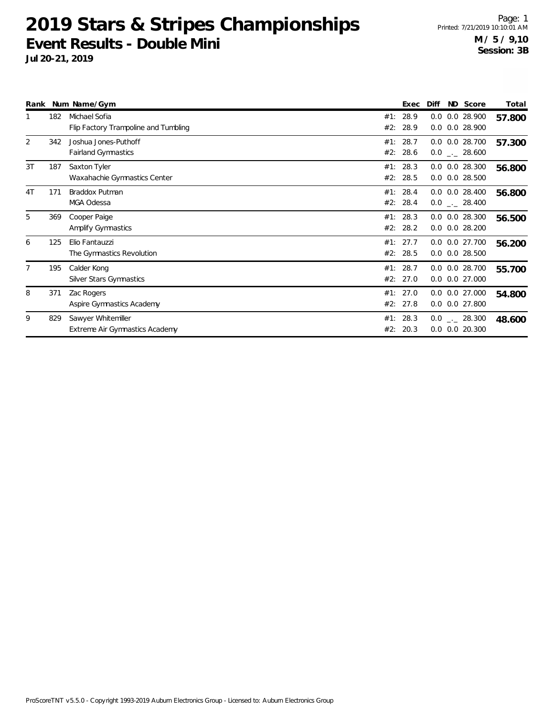|                |     | Rank Num Name/Gym                                     |            | Exec                 | Diff | ND Score                                 | Total  |
|----------------|-----|-------------------------------------------------------|------------|----------------------|------|------------------------------------------|--------|
|                | 182 | Michael Sofia<br>Flip Factory Trampoline and Tumbling | #1:<br>#2: | 28.9<br>28.9         | 0.0  | 0.0 28.900<br>0.0 0.0 28.900             | 57.800 |
| 2              | 342 | Joshua Jones-Puthoff<br><b>Fairland Gymnastics</b>    | #1:<br>#2: | 28.7<br>28.6         |      | $0.0$ $0.0$ 28.700<br>$0.0$ _ 28.600     | 57.300 |
| 3T             | 187 | Saxton Tyler<br>Waxahachie Gymnastics Center          | #1:<br>#2: | 28.3<br>28.5         |      | $0.0$ $0.0$ 28.300<br>$0.0$ $0.0$ 28.500 | 56.800 |
| 4 <sub>T</sub> | 171 | Braddox Putman<br>MGA Odessa                          | #1:<br>#2: | 28.4<br>28.4         |      | $0.0$ $0.0$ 28.400<br>$0.0$ _ 28.400     | 56.800 |
| 5              | 369 | Cooper Paige<br>Amplify Gymnastics                    | #1:<br>#2: | 28.3<br>28.2         |      | $0.0$ $0.0$ 28.300<br>$0.0$ $0.0$ 28.200 | 56.500 |
| 6              | 125 | Elio Fantauzzi<br>The Gymnastics Revolution           | #1:        | 27.7<br>#2: 28.5     |      | 0.0 0.0 27.700<br>$0.0$ $0.0$ 28.500     | 56.200 |
|                | 195 | Calder Kong<br>Silver Stars Gymnastics                | #1:        | 28.7<br>#2: 27.0     |      | $0.0$ $0.0$ 28.700<br>$0.0$ $0.0$ 27.000 | 55.700 |
| 8              | 371 | Zac Rogers<br>Aspire Gymnastics Academy               |            | #1: 27.0<br>#2: 27.8 |      | $0.0$ $0.0$ 27.000<br>$0.0$ $0.0$ 27.800 | 54.800 |
| 9              | 829 | Sawyer Whitemiller<br>Extreme Air Gymnastics Academy  | #2:        | #1: 28.3<br>20.3     |      | $0.0$ _ 28.300<br>$0.0$ $0.0$ 20.300     | 48.600 |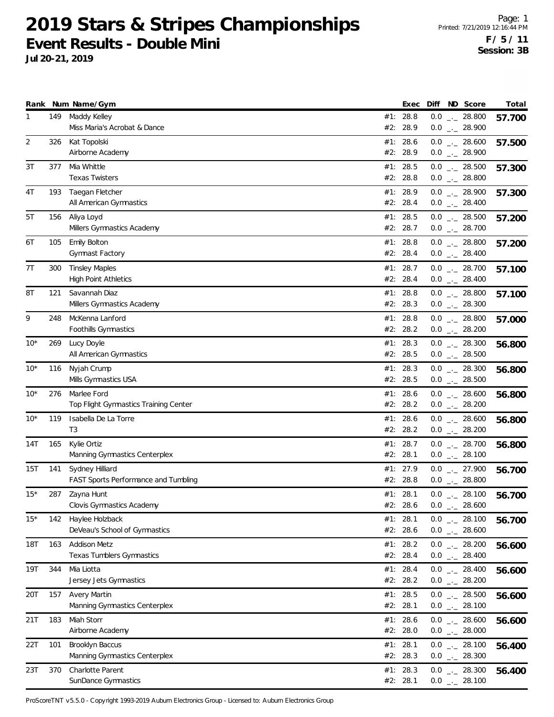**Jul 20-21, 2019**

|       |     | Rank Num Name/Gym                                       |     | Exec                 | Diff ND Score                                  | Total  |
|-------|-----|---------------------------------------------------------|-----|----------------------|------------------------------------------------|--------|
| 1     | 149 | Maddy Kelley<br>Miss Maria's Acrobat & Dance            | #2: | #1: 28.8<br>28.9     | $0.0$ _ 28.800<br>$0.0$ $_{-}$ 28.900          | 57.700 |
| 2     | 326 | Kat Topolski<br>Airborne Academy                        |     | #1: 28.6<br>#2: 28.9 | $0.0$ _ 28.600<br>$0.0$ $_{\leftarrow}$ 28.900 | 57.500 |
| 3T    | 377 | Mia Whittle<br><b>Texas Twisters</b>                    |     | #1: 28.5<br>#2: 28.8 | $0.0$ _ 28.500<br>$0.0$ _ 28.800               | 57.300 |
| 4T    | 193 | Taegan Fletcher<br>All American Gymnastics              |     | #1: 28.9<br>#2: 28.4 | $0.0$ _ 28.900<br>$0.0$ _._ 28.400             | 57.300 |
| 5T    | 156 | Aliya Loyd<br>Millers Gymnastics Academy                |     | #1: 28.5<br>#2: 28.7 | $0.0$ _ 28.500<br>$0.0$ _ 28.700               | 57.200 |
| 6T    | 105 | Emily Bolton<br>Gymnast Factory                         |     | #1: 28.8<br>#2: 28.4 | $0.0$ _ 28.800<br>$0.0$ _ 28.400               | 57.200 |
| 7T    | 300 | <b>Tinsley Maples</b><br><b>High Point Athletics</b>    |     | #1: 28.7<br>#2: 28.4 | $0.0$ _ 28.700<br>$0.0$ _ 28.400               | 57.100 |
| 8Τ    | 121 | Savannah Diaz<br>Millers Gymnastics Academy             |     | #1: 28.8<br>#2: 28.3 | $0.0$ _ 28.800<br>$0.0$ _ 28.300               | 57.100 |
| 9     | 248 | McKenna Lanford<br>Foothills Gymnastics                 |     | #1: 28.8<br>#2: 28.2 | $0.0$ _ 28.800<br>$0.0$ _ 28.200               | 57.000 |
| $10*$ | 269 | Lucy Doyle<br>All American Gymnastics                   |     | #1: 28.3<br>#2: 28.5 | $0.0$ _ 28.300<br>$0.0$ _ 28.500               | 56.800 |
| $10*$ | 116 | Nyjah Crump<br>Mills Gymnastics USA                     |     | #1: 28.3<br>#2: 28.5 | $0.0$ _ 28.300<br>$0.0$ _ 28.500               | 56.800 |
| $10*$ | 276 | Marlee Ford<br>Top Flight Gymnastics Training Center    | #1: | 28.6<br>#2: 28.2     | $0.0$ _ 28.600<br>$0.0$ _ 28.200               | 56.800 |
| $10*$ | 119 | Isabella De La Torre<br>T <sub>3</sub>                  |     | #1: 28.6<br>#2: 28.2 | $0.0$ _._ 28.600<br>$0.0$ _ 28.200             | 56.800 |
| 14T   | 165 | Kylie Ortiz<br>Manning Gymnastics Centerplex            |     | #1: 28.7<br>#2: 28.1 | $0.0$ _ 28.700<br>$0.0$ _ 28.100               | 56.800 |
| 15T   | 141 | Sydney Hilliard<br>FAST Sports Performance and Tumbling |     | #1: 27.9<br>#2: 28.8 | $0.0$ $_{-}$ 27.900<br>$0.0$ _ 28.800          | 56.700 |
| $15*$ | 287 | Zayna Hunt<br>Clovis Gymnastics Academy                 |     | #1: 28.1<br>#2: 28.6 | $0.0$ _ 28.100<br>$0.0$ _ 28.600               | 56.700 |
| $15*$ | 142 | Haylee Holzback<br>DeVeau's School of Gymnastics        |     | #1: 28.1<br>#2: 28.6 | $0.0$ _ 28.100<br>$0.0$ _ 28.600               | 56.700 |
| 18T   | 163 | <b>Addison Metz</b><br>Texas Tumblers Gymnastics        |     | #1: 28.2<br>#2: 28.4 | $0.0$ _ 28.200<br>$0.0$ _ 28.400               | 56.600 |
| 19T   | 344 | Mia Liotta<br>Jersey Jets Gymnastics                    |     | #1: 28.4<br>#2: 28.2 | $0.0$ _ 28.400<br>$0.0$ _ 28.200               | 56.600 |
| 20T   | 157 | <b>Avery Martin</b><br>Manning Gymnastics Centerplex    |     | #1: 28.5<br>#2: 28.1 | $0.0$ _ 28.500<br>$0.0$ _ 28.100               | 56.600 |
| 21T   | 183 | Miah Storr<br>Airborne Academy                          |     | #1: 28.6<br>#2: 28.0 | $0.0$ _ 28.600<br>$0.0$ _ 28.000               | 56.600 |
| 22T   | 101 | Brooklyn Baccus<br>Manning Gymnastics Centerplex        |     | #1: 28.1<br>#2: 28.3 | $0.0$ _ 28.100<br>$0.0$ _ 28.300               | 56.400 |
| 23T   | 370 | Charlotte Parent<br>SunDance Gymnastics                 |     | #1: 28.3<br>#2: 28.1 | $0.0$ _ 28.300<br>$0.0$ _ 28.100               | 56.400 |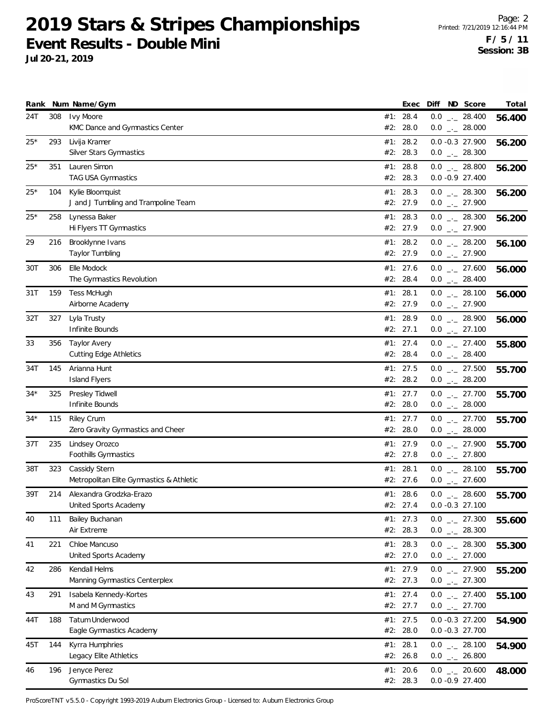**Jul 20-21, 2019**

|       |     | Rank Num Name/Gym                                    |     | Exec                 | Diff |                                       | ND Score | Total  |
|-------|-----|------------------------------------------------------|-----|----------------------|------|---------------------------------------|----------|--------|
| 24T   | 308 | Ivy Moore<br>KMC Dance and Gymnastics Center         | #2: | #1: 28.4<br>28.0     |      | $0.0$ _ 28.400<br>$0.0$ _ 28.000      |          | 56.400 |
| $25*$ | 293 | Livija Kramer                                        |     | #1: 28.2             |      | $0.0 - 0.3$ 27.900                    |          | 56.200 |
|       |     | Silver Stars Gymnastics                              |     | #2: 28.3             |      | $0.0$ $_{-}$ 28.300                   |          |        |
| $25*$ | 351 | Lauren Simon                                         |     | #1: 28.8             |      | $0.0$ _ 28.800                        |          | 56.200 |
|       |     | TAG USA Gymnastics                                   |     | #2: 28.3             |      | $0.0 -0.927.400$                      |          |        |
| $25*$ | 104 | Kylie Bloomquist                                     |     | #1: 28.3             |      | $0.0$ _ 28.300                        |          | 56.200 |
|       |     | J and J Tumbling and Trampoline Team                 |     | #2: 27.9             |      | $0.0$ $_{-}$ 27.900                   |          |        |
| $25*$ | 258 | Lynessa Baker                                        |     | #1: 28.3             |      | $0.0$ _ 28.300                        |          | 56.200 |
|       |     | Hi Flyers TT Gymnastics                              |     | #2: 27.9             |      | $0.0$ $_{-}$ 27.900                   |          |        |
| 29    | 216 | Brooklynne Ivans                                     |     | #1: 28.2             |      | $0.0$ _ 28.200                        |          | 56.100 |
|       |     | Taylor Tumbling                                      |     | #2: 27.9             |      | $0.0$ _ 27.900                        |          |        |
| 30T   | 306 | Elle Modock                                          |     | #1: 27.6             |      | $0.0$ _ 27.600                        |          | 56.000 |
|       |     | The Gymnastics Revolution                            |     | #2: 28.4             |      | $0.0$ _ 28.400                        |          |        |
| 31T   | 159 | <b>Tess McHugh</b>                                   |     | #1: 28.1             |      | $0.0$ _ 28.100                        |          | 56.000 |
|       |     | Airborne Academy                                     |     | #2: 27.9             |      | $0.0$ $_{-}$ 27.900                   |          |        |
| 32T   | 327 | Lyla Trusty<br>Infinite Bounds                       |     | #1: 28.9             |      | $0.0$ _ 28.900                        |          | 56.000 |
|       |     |                                                      |     | #2: 27.1             |      | $0.0$ _ 27.100                        |          |        |
| 33    | 356 | <b>Taylor Avery</b><br><b>Cutting Edge Athletics</b> |     | #1: 27.4<br>#2: 28.4 |      | $0.0$ _ 27.400<br>$0.0$ _ 28.400      |          | 55.800 |
|       |     |                                                      |     |                      |      |                                       |          |        |
| 34T   | 145 | Arianna Hunt<br><b>Island Flyers</b>                 |     | #1: 27.5<br>#2: 28.2 |      | $0.0$ $_{-}$ 27.500<br>$0.0$ _ 28.200 |          | 55.700 |
| $34*$ |     |                                                      | #1: | 27.7                 |      | $0.0$ $_{-}$ 27.700                   |          |        |
|       | 325 | Presley Tidwell<br>Infinite Bounds                   |     | #2: 28.0             |      | $0.0$ _ 28.000                        |          | 55.700 |
| $34*$ | 115 | <b>Riley Crum</b>                                    |     | #1: 27.7             |      | $0.0$ _._ 27.700                      |          |        |
|       |     | Zero Gravity Gymnastics and Cheer                    |     | #2: 28.0             |      | $0.0$ _._ 28.000                      |          | 55.700 |
| 37T   | 235 | Lindsey Orozco                                       |     | #1: 27.9             |      | $0.0$ _ 27.900                        |          | 55.700 |
|       |     | Foothills Gymnastics                                 |     | #2: 27.8             |      | $0.0$ _ 27.800                        |          |        |
| 38T   | 323 | Cassidy Stern                                        |     | #1: 28.1             |      | $0.0$ _ 28.100                        |          | 55.700 |
|       |     | Metropolitan Elite Gymnastics & Athletic             |     | #2: 27.6             |      | $0.0$ _ 27.600                        |          |        |
| 39T   | 214 | Alexandra Grodzka-Erazo                              |     | #1: 28.6             |      | $0.0$ _._ 28.600                      |          | 55.700 |
|       |     | United Sports Academy                                |     | #2: 27.4             |      | $0.0 -0.3$ 27.100                     |          |        |
| 40    | 111 | Bailey Buchanan                                      |     | #1: 27.3             |      | $0.0$ $_{-}$ 27.300                   |          | 55.600 |
|       |     | Air Extreme                                          |     | #2: 28.3             |      | $0.0$ _ 28.300                        |          |        |
| 41    | 221 | Chloe Mancuso                                        |     | #1: 28.3             |      | $0.0$ _ 28.300                        |          | 55.300 |
|       |     | United Sports Academy                                |     | #2: 27.0             |      | $0.0$ $_{\leftarrow}$ 27.000          |          |        |
| 42    | 286 | Kendall Helms                                        |     | #1: 27.9             |      | $0.0$ _ 27.900                        |          | 55.200 |
|       |     | Manning Gymnastics Centerplex                        |     | #2: 27.3             |      | $0.0$ _ 27.300                        |          |        |
| 43    | 291 | Isabela Kennedy-Kortes                               |     | #1: 27.4             |      | $0.0$ _ 27.400                        |          | 55.100 |
|       |     | M and M Gymnastics                                   |     | #2: 27.7             |      | $0.0$ _ 27.700                        |          |        |
| 44T   | 188 | Tatum Underwood                                      |     | #1: 27.5             |      | $0.0 -0.3$ 27.200                     |          | 54.900 |
|       |     | Eagle Gymnastics Academy                             |     | #2: 28.0             |      | $0.0 -0.3$ 27.700                     |          |        |
| 45T   | 144 | Kyrra Humphries                                      |     | #1: 28.1             |      | $0.0$ _ 28.100                        |          | 54.900 |
|       |     | Legacy Elite Athletics                               |     | #2: 26.8             |      | $0.0$ _ 26.800                        |          |        |
| 46    | 196 | Jenyce Perez                                         |     | #1: 20.6             |      | $0.0$ _ 20.600                        |          | 48.000 |
|       |     | Gymnastics Du Sol                                    |     | #2: 28.3             |      | $0.0 - 0.9 27.400$                    |          |        |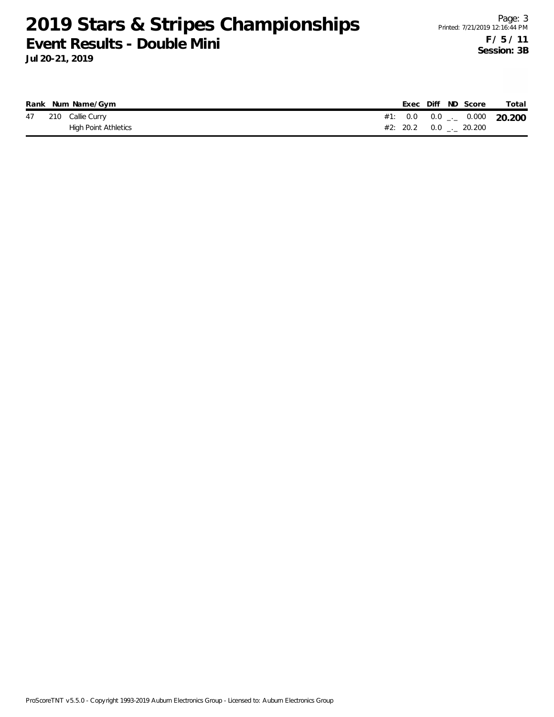|  | Rank Num Name/Gym           |  |  | Exec Diff ND Score            | Total                                    |
|--|-----------------------------|--|--|-------------------------------|------------------------------------------|
|  | 47 210 Callie Curry         |  |  |                               | #1: $0.0$ $0.0$ $_{--}$ $0.000$ $20.200$ |
|  | <b>High Point Athletics</b> |  |  | $#2: 20.2 \t 0.0 \t . 20.200$ |                                          |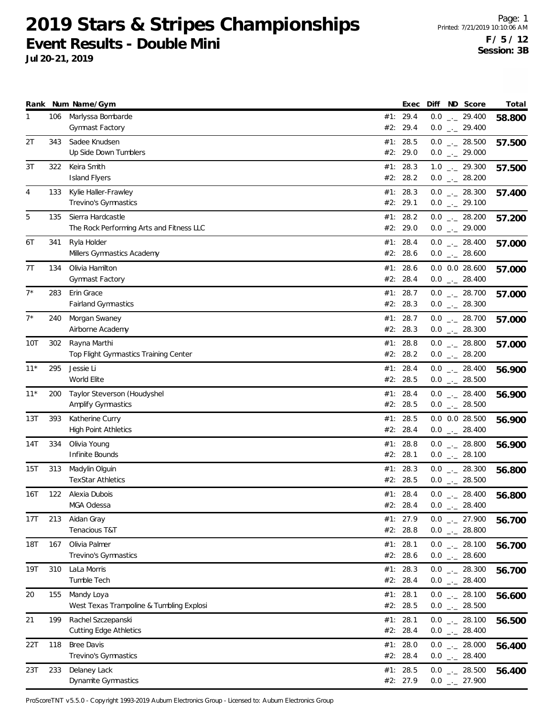**Jul 20-21, 2019**

|       |     | Rank Num Name/Gym                                             |     | Exec                 | Diff ND Score                                  | Total  |
|-------|-----|---------------------------------------------------------------|-----|----------------------|------------------------------------------------|--------|
| 1     | 106 | Marlyssa Bombarde<br><b>Gymnast Factory</b>                   |     | #1: 29.4<br>#2: 29.4 | $0.0$ $_{\leftarrow}$ 29.400<br>$0.0$ _ 29.400 | 58.800 |
| 2Τ    | 343 | Sadee Knudsen<br>Up Side Down Tumblers                        |     | #1: 28.5<br>#2: 29.0 | $0.0$ _ 28.500<br>$0.0$ _ 29.000               | 57.500 |
| 3T    | 322 | Keira Smith<br><b>Island Flyers</b>                           |     | #1: 28.3<br>#2: 28.2 | $1.0$ $_{\leftarrow}$ 29.300<br>$0.0$ _ 28.200 | 57.500 |
| 4     | 133 | Kylie Haller-Frawley<br>Trevino's Gymnastics                  |     | #1: 28.3<br>#2: 29.1 | $0.0$ _ 28.300<br>$0.0$ $_{-}$ 29.100          | 57.400 |
| 5     | 135 | Sierra Hardcastle<br>The Rock Performing Arts and Fitness LLC |     | #1: 28.2<br>#2: 29.0 | $0.0$ _ 28.200<br>$0.0$ $_{-}$ 29.000          | 57.200 |
| 6T    | 341 | Ryla Holder<br>Millers Gymnastics Academy                     |     | #1: 28.4<br>#2: 28.6 | $0.0$ _ 28.400<br>$0.0$ _ 28.600               | 57.000 |
| 7T    | 134 | Olivia Hamilton<br>Gymnast Factory                            | #2: | #1: 28.6<br>28.4     | $0.0$ $0.0$ 28.600<br>$0.0$ _ 28.400           | 57.000 |
| $7^*$ | 283 | Erin Grace<br>Fairland Gymnastics                             |     | #1: 28.7<br>#2: 28.3 | $0.0$ _ 28.700<br>$0.0$ _ 28.300               | 57.000 |
| $7^*$ | 240 | Morgan Swaney<br>Airborne Academy                             |     | #1: 28.7<br>#2: 28.3 | $0.0$ _ 28.700<br>$0.0$ _ 28.300               | 57.000 |
| 10T   | 302 | Rayna Marthi<br>Top Flight Gymnastics Training Center         |     | #1: 28.8<br>#2: 28.2 | $0.0$ _ 28.800<br>$0.0$ _ 28.200               | 57.000 |
| $11*$ | 295 | Jessie Li<br>World Elite                                      | #1: | 28.4<br>#2: 28.5     | $0.0$ _ 28.400<br>$0.0$ _ 28.500               | 56.900 |
| $11*$ | 200 | Taylor Steverson (Houdyshel<br>Amplify Gymnastics             |     | #1: 28.4<br>#2: 28.5 | $0.0$ _ 28.400<br>$0.0$ _ 28.500               | 56.900 |
| 13T   | 393 | Katherine Curry<br><b>High Point Athletics</b>                |     | #1: 28.5<br>#2: 28.4 | $0.0$ $0.0$ 28.500<br>$0.0$ _ 28.400           | 56.900 |
| 14T   | 334 | Olivia Young<br>Infinite Bounds                               |     | #1: 28.8<br>#2: 28.1 | $0.0$ _ 28.800<br>$0.0$ _ 28.100               | 56.900 |
| 15T   | 313 | Madylin Olguin<br><b>TexStar Athletics</b>                    | #1: | 28.3<br>#2: 28.5     | $0.0$ _ 28.300<br>$0.0$ _ 28.500               | 56.800 |
| 16T   | 122 | Alexia Dubois<br>MGA Odessa                                   |     | #1: 28.4<br>#2: 28.4 | $0.0$ _._ 28.400<br>$0.0$ _._ 28.400           | 56.800 |
| 17T   | 213 | Aidan Gray<br>Tenacious T&T                                   |     | #1: 27.9<br>#2: 28.8 | $0.0$ $_{-}$ 27.900<br>$0.0$ _ 28.800          | 56.700 |
| 18T   | 167 | Olivia Palmer<br>Trevino's Gymnastics                         |     | #1: 28.1<br>#2: 28.6 | $0.0$ _ 28.100<br>$0.0$ _ 28.600               | 56.700 |
| 19T   | 310 | LaLa Morris<br>Tumble Tech                                    |     | #1: 28.3<br>#2: 28.4 | $0.0$ _ 28.300<br>$0.0$ _ 28.400               | 56.700 |
| 20    | 155 | Mandy Loya<br>West Texas Trampoline & Tumbling Explosi        |     | #1: 28.1<br>#2: 28.5 | $0.0$ $_{-}$ 28.100<br>$0.0$ _ 28.500          | 56.600 |
| 21    | 199 | Rachel Szczepanski<br><b>Cutting Edge Athletics</b>           |     | #1: 28.1<br>#2: 28.4 | $0.0$ _ 28.100<br>$0.0$ _ 28.400               | 56.500 |
| 22T   | 118 | <b>Bree Davis</b><br>Trevino's Gymnastics                     |     | #1: 28.0<br>#2: 28.4 | $0.0$ _ 28.000<br>$0.0$ _ 28.400               | 56.400 |
| 23T   | 233 | Delaney Lack<br>Dynamite Gymnastics                           |     | #1: 28.5<br>#2: 27.9 | $0.0$ _ 28.500<br>$0.0$ _ 27.900               | 56.400 |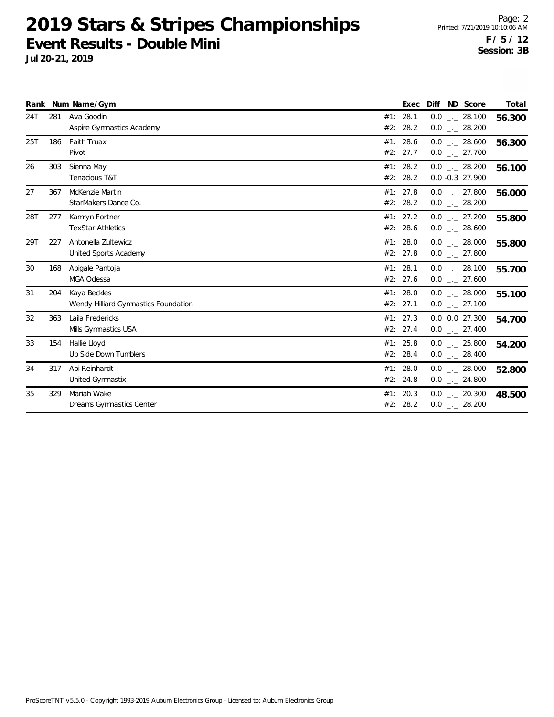|     |     | Rank Num Name/Gym                                    |                        | Exec | Diff ND Score                         | Total  |
|-----|-----|------------------------------------------------------|------------------------|------|---------------------------------------|--------|
| 24T | 281 | Ava Goodin<br>Aspire Gymnastics Academy              | #1: 28.1<br>#2: $28.2$ |      | $0.0$ _ 28.100<br>$0.0$ _ 28.200      | 56.300 |
| 25T | 186 | Faith Truax<br>Pivot                                 | #1: 28.6<br>#2: 27.7   |      | $0.0$ _._ 28.600<br>$0.0$ _ 27.700    | 56.300 |
| 26  | 303 | Sienna May<br>Tenacious T&T                          | #1: 28.2<br>#2: 28.2   |      | $0.0$ _ 28.200<br>0.0 -0.3 27.900     | 56.100 |
| 27  | 367 | McKenzie Martin<br>StarMakers Dance Co.              | #1: 27.8<br>#2: 28.2   |      | $0.0$ $_{-}$ 27.800<br>$0.0$ _ 28.200 | 56.000 |
| 28T | 277 | Kamryn Fortner<br><b>TexStar Athletics</b>           | #1: 27.2<br>#2: 28.6   |      | $0.0$ _ 27.200<br>$0.0$ _ 28.600      | 55.800 |
| 29T | 227 | Antonella Zultewicz<br>United Sports Academy         | #1: 28.0<br>#2: 27.8   |      | $0.0$ _._ 28.000<br>$0.0$ _ 27.800    | 55.800 |
| 30  | 168 | Abigale Pantoja<br>MGA Odessa                        | #1: 28.1<br>#2: 27.6   |      | $0.0$ _._ 28.100<br>$0.0$ _ 27.600    | 55.700 |
| 31  | 204 | Kaya Beckles<br>Wendy Hilliard Gymnastics Foundation | #1: 28.0<br>#2: 27.1   |      | $0.0$ _ 28.000<br>$0.0$ _ 27.100      | 55.100 |
| 32  | 363 | Laila Fredericks<br>Mills Gymnastics USA             | #1: 27.3<br>#2: 27.4   |      | 0.0 0.0 27.300<br>$0.0$ _ 27.400      | 54.700 |
| 33  | 154 | Hallie Lloyd<br>Up Side Down Tumblers                | #1: $25.8$<br>#2: 28.4 |      | $0.0$ _._ 25.800<br>$0.0$ _ 28.400    | 54.200 |
| 34  | 317 | Abi Reinhardt<br>United Gymnastix                    | #1: 28.0<br>#2: 24.8   |      | $0.0$ . 28.000<br>$0.0$ _ 24.800      | 52.800 |
| 35  | 329 | Mariah Wake<br>Dreams Gymnastics Center              | #1: 20.3<br>#2: 28.2   |      | $0.0$ _ 20.300<br>$0.0$ _ 28.200      | 48.500 |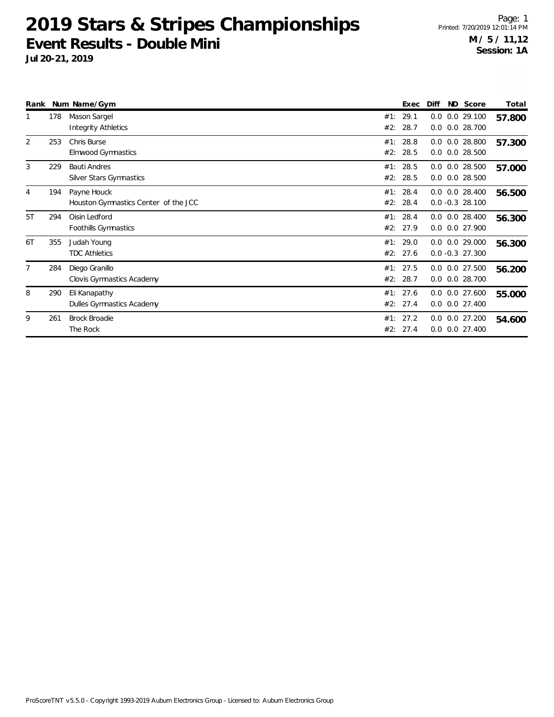| Rank           |     | Num Name/Gym                                        |            | Exec                 | Diff | ND Score                                   | Total  |
|----------------|-----|-----------------------------------------------------|------------|----------------------|------|--------------------------------------------|--------|
|                | 178 | Mason Sargel<br><b>Integrity Athletics</b>          | #1:<br>#2: | 29.1<br>28.7         | 0.0  | $0.0$ $0.0$ 29.100<br>0.0 28.700           | 57.800 |
| 2              | 253 | Chris Burse<br>Elmwood Gymnastics                   | #1:<br>#2: | 28.8<br>28.5         |      | $0.0$ $0.0$ 28.800<br>$0.0$ $0.0$ 28.500   | 57.300 |
| 3              | 229 | <b>Bauti Andres</b><br>Silver Stars Gymnastics      | #1:<br>#2: | 28.5<br>28.5         | 0.0  | $0.0$ $0.0$ 28.500<br>0.0 28.500           | 57.000 |
| 4              | 194 | Payne Houck<br>Houston Gymnastics Center of the JCC | #1:<br>#2: | 28.4<br>28.4         |      | $0.0$ $0.0$ 28.400<br>$0.0 - 0.3$ 28.100   | 56.500 |
| 5T             | 294 | Oisin Ledford<br>Foothills Gymnastics               | #1:        | 28.4<br>#2: 27.9     |      | $0.0$ $0.0$ 28.400<br>0.0 0.0 27.900       | 56.300 |
| 6T             | 355 | Judah Young<br><b>TDC Athletics</b>                 |            | #1: 29.0<br>#2: 27.6 |      | $0.0$ $0.0$ 29.000<br>$0.0 - 0.3$ 27.300   | 56.300 |
| $\overline{7}$ | 284 | Diego Granillo<br>Clovis Gymnastics Academy         |            | #1: 27.5<br>#2: 28.7 |      | $0.0$ $0.0$ 27.500<br>$0.0$ $0.0$ 28.700   | 56.200 |
| 8              | 290 | Eli Kanapathy<br>Dulles Gymnastics Academy          |            | #1: 27.6<br>#2: 27.4 |      | $0.0$ $0.0$ 27.600<br>$0.0$ $0.0$ 27.400   | 55.000 |
| 9              | 261 | <b>Brock Broadie</b><br>The Rock                    | #1:        | 27.2<br>#2: 27.4     |      | $0.0$ $0.0$ 27.200<br>$0.0$ $0.0$ $27.400$ | 54.600 |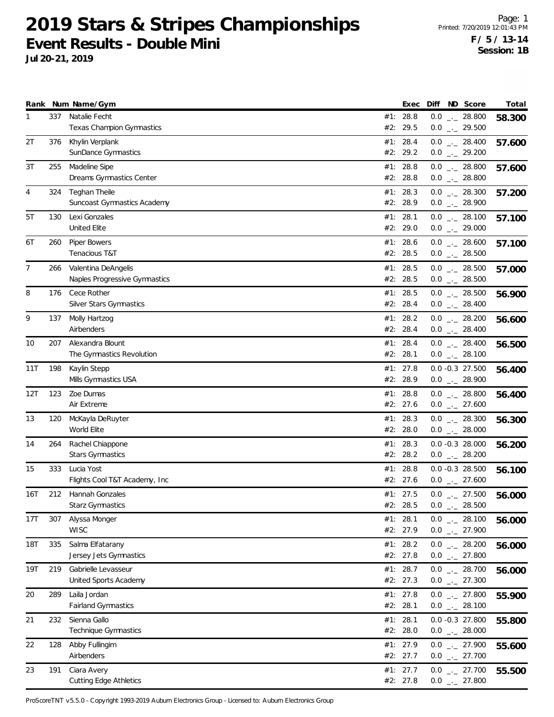**Jul 20-21, 2019**

|              |     | Rank Num Name/Gym                                    |     | Exec                 | Diff | ND Score                                                                | Total  |
|--------------|-----|------------------------------------------------------|-----|----------------------|------|-------------------------------------------------------------------------|--------|
| $\mathbf{1}$ | 337 | Natalie Fecht<br>Texas Champion Gymnastics           | #2: | #1: 28.8<br>29.5     |      | $0.0$ _ 28.800<br>$0.0$ $_{\leftarrow}$ 29.500                          | 58.300 |
| 2T           | 376 | Khylin Verplank<br>SunDance Gymnastics               |     | #1: 28.4<br>#2: 29.2 |      | $0.0$ _ 28.400<br>$0.0$ _ 29.200                                        | 57.600 |
| 3T           | 255 | Madeline Sipe<br>Dreams Gymnastics Center            |     | #1: 28.8<br>#2: 28.8 |      | $0.0$ _ 28.800<br>$0.0$ _ 28.800                                        | 57.600 |
| 4            | 324 | Teghan Theile<br><b>Suncoast Gymnastics Academy</b>  |     | #1: 28.3<br>#2: 28.9 |      | $0.0$ _ 28.300<br>$0.0$ _ 28.900                                        | 57.200 |
| 5T           | 130 | Lexi Gonzales<br>United Elite                        | #1: | 28.1<br>#2: 29.0     |      | $0.0$ _ 28.100<br>$0.0$ $_{\leftarrow}$ 29.000                          | 57.100 |
| 6T           | 260 | Piper Bowers<br>Tenacious T&T                        |     | #1: 28.6<br>#2: 28.5 |      | $0.0$ _ 28.600<br>$0.0$ _ 28.500                                        | 57.100 |
| 7            | 266 | Valentina DeAngelis<br>Naples Progressive Gymnastics |     | #1: 28.5<br>#2: 28.5 |      | $0.0$ _ 28.500<br>$0.0$ $_{\leftarrow}$ 28.500                          | 57.000 |
| 8            | 176 | Cece Rother<br>Silver Stars Gymnastics               | #1: | 28.5<br>#2: 28.4     |      | $0.0$ _ 28.500<br>$0.0$ _ 28.400                                        | 56.900 |
| 9            | 137 | Molly Hartzog<br>Airbenders                          |     | #1: 28.2<br>#2: 28.4 |      | $0.0$ _ 28.200<br>$0.0$ _._ 28.400                                      | 56.600 |
| 10           | 207 | Alexandra Blount<br>The Gymnastics Revolution        |     | #1: 28.4<br>#2: 28.1 |      | $0.0$ _ 28.400<br>$0.0$ _ 28.100                                        | 56.500 |
| 11T          | 198 | Kaylin Stepp<br>Mills Gymnastics USA                 |     | #1: 27.8<br>#2: 28.9 |      | $0.0 - 0.3$ 27.500<br>$0.0$ _ 28.900                                    | 56.400 |
| 12T          | 123 | Zoe Dumas<br>Air Extreme                             | #1: | 28.8<br>#2: 27.6     |      | $0.0$ _ 28.800<br>$0.0$ _ 27.600                                        | 56.400 |
| 13           | 120 | McKayla DeRuyter<br>World Elite                      |     | #1: 28.3<br>#2: 28.0 |      | $0.0$ _ 28.300<br>$0.0$ _ 28.000                                        | 56.300 |
| 14           | 264 | Rachel Chiappone<br><b>Stars Gymnastics</b>          |     | #1: 28.3<br>#2: 28.2 |      | $0.0 - 0.3$ 28.000<br>$0.0$ _ 28.200                                    | 56.200 |
| 15           | 333 | Lucia Yost<br>Flights Cool T&T Academy, Inc.         | #1: | 28.8<br>#2: 27.6     |      | $0.0 - 0.3$ 28.500<br>$0.0$ _ 27.600                                    | 56.100 |
| 16T          | 212 | Hannah Gonzales<br><b>Starz Gymnastics</b>           |     | #1: 27.5<br>#2: 28.5 | 0.0  | $0.0$ _ 27.500<br>28.500<br>$\mathcal{L}^{\mu}$ and $\mathcal{L}^{\mu}$ | 56.000 |
| 17T          | 307 | Alyssa Monger<br><b>WISC</b>                         |     | #1: 28.1<br>#2: 27.9 |      | $0.0$ _ 28.100<br>$0.0$ _ 27.900                                        | 56.000 |
| 18T          | 335 | Salma Elfatarany<br>Jersey Jets Gymnastics           |     | #1: 28.2<br>#2: 27.8 |      | $0.0$ _ 28.200<br>$0.0$ _ 27.800                                        | 56.000 |
| 19T          | 219 | Gabrielle Levasseur<br>United Sports Academy         |     | #1: 28.7<br>#2: 27.3 |      | $0.0$ _ 28.700<br>$0.0$ _ 27.300                                        | 56.000 |
| 20           | 289 | Laila Jordan<br>Fairland Gymnastics                  |     | #1: 27.8<br>#2: 28.1 |      | $0.0$ $_{-}$ 27.800<br>$0.0$ _ 28.100                                   | 55.900 |
| 21           | 232 | Sienna Gallo<br>Technique Gymnastics                 |     | #1: 28.1<br>#2: 28.0 |      | $0.0 -0.3$ 27.800<br>$0.0$ _ 28.000                                     | 55.800 |
| 22           | 128 | Abby Fullingim<br>Airbenders                         |     | #1: 27.9<br>#2: 27.7 |      | $0.0$ $_{-}$ 27.900<br>$0.0$ _ 27.700                                   | 55.600 |
| 23           | 191 | Ciara Avery<br><b>Cutting Edge Athletics</b>         |     | #1: 27.7<br>#2: 27.8 |      | $0.0$ _ 27.700<br>$0.0$ _ 27.800                                        | 55.500 |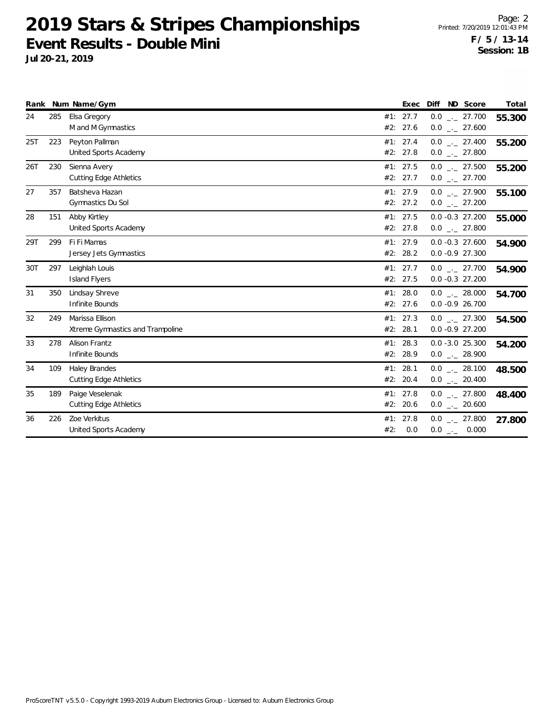|     |     | Rank Num Name/Gym                                   |                      | Exec | ND Score<br>Diff                               | Total  |
|-----|-----|-----------------------------------------------------|----------------------|------|------------------------------------------------|--------|
| 24  | 285 | Elsa Gregory<br>M and M Gymnastics                  | #1: 27.7<br>#2: 27.6 |      | $0.0$ _ 27.700<br>$0.0$ _ 27.600               | 55.300 |
| 25T | 223 | Peyton Pallman<br>United Sports Academy             | #1: 27.4<br>#2: 27.8 |      | $0.0$ _ 27.400<br>$0.0$ _ 27.800               | 55.200 |
| 26T | 230 | Sienna Avery<br><b>Cutting Edge Athletics</b>       | #1: 27.5<br>#2: 27.7 |      | $0.0$ _ 27.500<br>$0.0$ _ 27.700               | 55.200 |
| 27  | 357 | Batsheva Hazan<br>Gymnastics Du Sol                 | #1: 27.9<br>#2: 27.2 |      | $0.0$ $_{\leftarrow}$ 27.900<br>$0.0$ _ 27.200 | 55.100 |
| 28  | 151 | Abby Kirtley<br>United Sports Academy               | #1: 27.5<br>#2: 27.8 |      | $0.0 - 0.3$ 27.200<br>$0.0$ _ 27.800           | 55.000 |
| 29T | 299 | Fi Fi Mamas<br>Jersey Jets Gymnastics               | #1: 27.9<br>#2: 28.2 |      | $0.0 - 0.3 27.600$<br>$0.0 - 0.9 27.300$       | 54.900 |
| 30T | 297 | Leighlah Louis<br><b>Island Flyers</b>              | #1: 27.7<br>#2: 27.5 |      | $0.0$ _._ 27.700<br>$0.0 - 0.3$ 27.200         | 54.900 |
| 31  | 350 | Lindsay Shreve<br>Infinite Bounds                   | #1: 28.0<br>#2: 27.6 |      | $0.0$ _._ 28.000<br>$0.0 - 0.9 26.700$         | 54.700 |
| 32  | 249 | Marissa Ellison<br>Xtreme Gymnastics and Trampoline | #1: 27.3<br>#2: 28.1 |      | $0.0$ _._ 27.300<br>$0.0 - 0.9 27.200$         | 54.500 |
| 33  | 278 | Alison Frantz<br>Infinite Bounds                    | #1: 28.3<br>#2:      | 28.9 | $0.0 - 3.0 25.300$<br>$0.0$ _ 28.900           | 54.200 |
| 34  | 109 | Haley Brandes<br><b>Cutting Edge Athletics</b>      | #1: 28.1<br>#2: 20.4 |      | $0.0$ _._ 28.100<br>$0.0$ _ 20.400             | 48.500 |
| 35  | 189 | Paige Veselenak<br><b>Cutting Edge Athletics</b>    | #1: 27.8<br>#2: 20.6 |      | $0.0$ _ 27.800<br>$0.0$ _ 20.600               | 48.400 |
| 36  | 226 | Zoe Verkitus<br>United Sports Academy               | #1: 27.8<br>#2:      | 0.0  | $0.0$ _._ 27.800<br>$0.0$ _ 0.000              | 27.800 |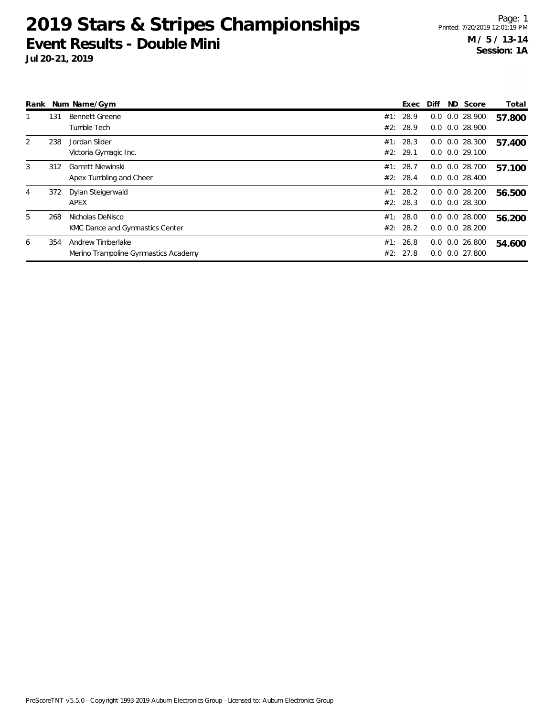|   |     | Rank Num Name/Gym                                         |     | Exec                 | Diff | ND Score                                   | Total  |
|---|-----|-----------------------------------------------------------|-----|----------------------|------|--------------------------------------------|--------|
|   | 131 | <b>Bennett Greene</b><br>Tumble Tech                      |     | #1: 28.9<br>#2: 28.9 |      | $0.0$ $0.0$ 28.900<br>$0.0$ $0.0$ 28.900   | 57.800 |
| 2 | 238 | Jordan Slider<br>Victoria Gymagic Inc.                    |     | #1: 28.3<br>#2: 29.1 |      | $0.0$ $0.0$ 28.300<br>$0.0$ $0.0$ $29.100$ | 57.400 |
| 3 | 312 | Garrett Niewinski<br>Apex Tumbling and Cheer              |     | #1: 28.7<br>#2: 28.4 |      | $0.0$ $0.0$ 28.700<br>$0.0$ $0.0$ 28.400   | 57.100 |
| 4 | 372 | Dylan Steigerwald<br>APEX                                 |     | #1: 28.2<br>#2: 28.3 |      | $0.0$ $0.0$ 28.200<br>$0.0$ $0.0$ 28.300   | 56.500 |
| 5 | 268 | Nicholas DeNisco<br>KMC Dance and Gymnastics Center       |     | #1: 28.0<br>#2: 28.2 | 0.0  | 0.028.000<br>$0.0$ $0.0$ 28.200            | 56.200 |
| 6 | 354 | Andrew Timberlake<br>Merino Trampoline Gymnastics Academy | #1: | 26.8<br>#2: 27.8     |      | $0.0$ $0.0$ 26.800<br>$0.0$ $0.0$ 27.800   | 54.600 |